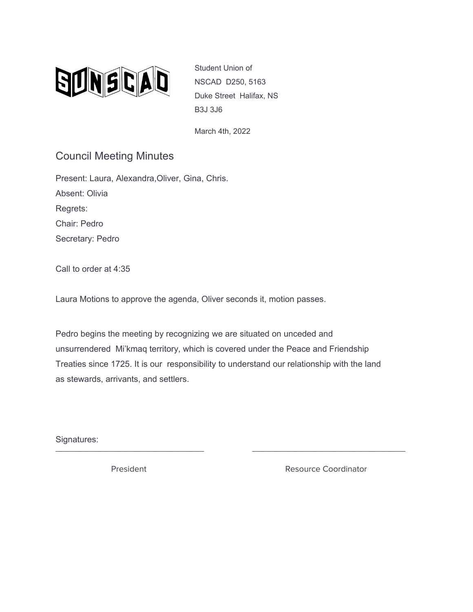

Student Union of NSCAD D250, 5163 Duke Street Halifax, NS B3J 3J6

March 4th, 2022

## Council Meeting Minutes

Present: Laura, Alexandra,Oliver, Gina, Chris. Absent: Olivia Regrets: Chair: Pedro Secretary: Pedro

Call to order at 4:35

Laura Motions to approve the agenda, Oliver seconds it, motion passes.

Pedro begins the meeting by recognizing we are situated on unceded and unsurrendered Mi'kmaq territory, which is covered under the Peace and Friendship Treaties since 1725. It is our responsibility to understand our relationship with the land as stewards, arrivants, and settlers.

\_\_\_\_\_\_\_\_\_\_\_\_\_\_\_\_\_\_\_\_\_\_\_\_\_\_\_\_\_\_\_ \_\_\_\_\_\_\_\_\_\_\_\_\_\_\_\_\_\_\_\_\_\_\_\_\_\_\_\_\_\_\_\_

Signatures:

President **Resource Coordinator** Resource Coordinator